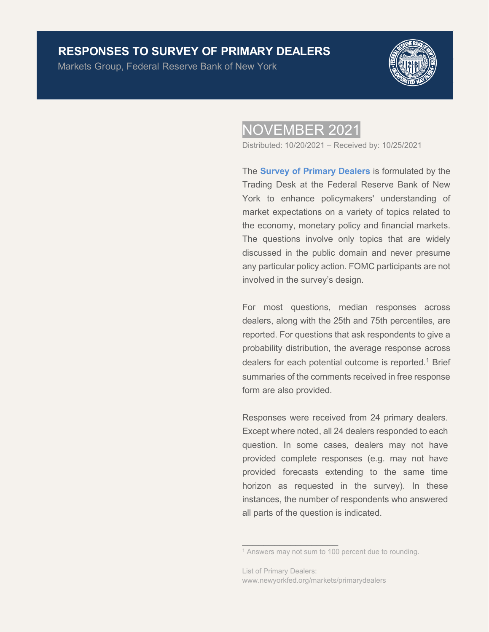# **RESPONSES TO SURVEY OF PRIMARY DEALERS**

Markets Group, Federal Reserve Bank of New York



# NOVEMBER 2021

Distributed: 10/20/2021 – Received by: 10/25/2021

The **[Survey of Primary Dealers](https://www.newyorkfed.org/markets/primarydealer_survey_questions.html)** is formulated by the Trading Desk at the Federal Reserve Bank of New York to enhance policymakers' understanding of market expectations on a variety of topics related to the economy, monetary policy and financial markets. The questions involve only topics that are widely discussed in the public domain and never presume any particular policy action. FOMC participants are not involved in the survey's design.

For most questions, median responses across dealers, along with the 25th and 75th percentiles, are reported. For questions that ask respondents to give a probability distribution, the average response across dealers for each potential outcome is reported.<sup>1</sup> Brief summaries of the comments received in free response form are also provided.

Responses were received from 24 primary dealers. Except where noted, all 24 dealers responded to each question. In some cases, dealers may not have provided complete responses (e.g. may not have provided forecasts extending to the same time horizon as requested in the survey). In these instances, the number of respondents who answered all parts of the question is indicated.

 $\overline{\phantom{a}}$  ,  $\overline{\phantom{a}}$  ,  $\overline{\phantom{a}}$  ,  $\overline{\phantom{a}}$  ,  $\overline{\phantom{a}}$  ,  $\overline{\phantom{a}}$  ,  $\overline{\phantom{a}}$  ,  $\overline{\phantom{a}}$  ,  $\overline{\phantom{a}}$  ,  $\overline{\phantom{a}}$  ,  $\overline{\phantom{a}}$  ,  $\overline{\phantom{a}}$  ,  $\overline{\phantom{a}}$  ,  $\overline{\phantom{a}}$  ,  $\overline{\phantom{a}}$  ,  $\overline{\phantom{a}}$ 

<sup>&</sup>lt;sup>1</sup> Answers may not sum to 100 percent due to rounding.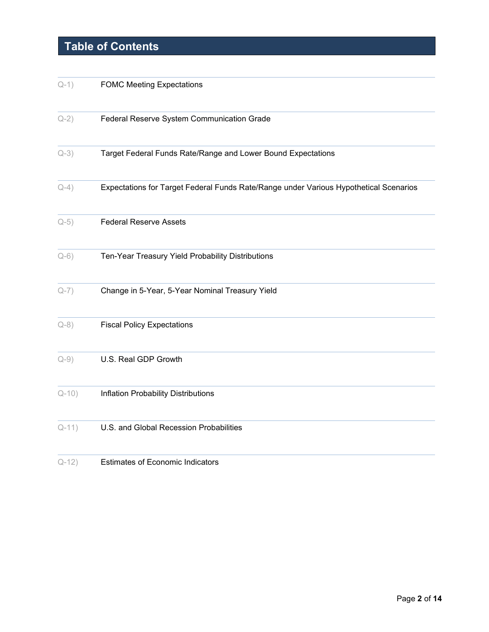# **Table of Contents**

| $Q-1)$  | <b>FOMC Meeting Expectations</b>                                                      |
|---------|---------------------------------------------------------------------------------------|
| $Q-2)$  | Federal Reserve System Communication Grade                                            |
| $Q-3)$  | Target Federal Funds Rate/Range and Lower Bound Expectations                          |
| $Q-4)$  | Expectations for Target Federal Funds Rate/Range under Various Hypothetical Scenarios |
| $Q-5)$  | <b>Federal Reserve Assets</b>                                                         |
| $Q-6)$  | Ten-Year Treasury Yield Probability Distributions                                     |
| $Q-7)$  | Change in 5-Year, 5-Year Nominal Treasury Yield                                       |
| $Q-8)$  | <b>Fiscal Policy Expectations</b>                                                     |
| $Q-9)$  | U.S. Real GDP Growth                                                                  |
| $Q-10)$ | Inflation Probability Distributions                                                   |
| $Q-11)$ | U.S. and Global Recession Probabilities                                               |
| $Q-12)$ | <b>Estimates of Economic Indicators</b>                                               |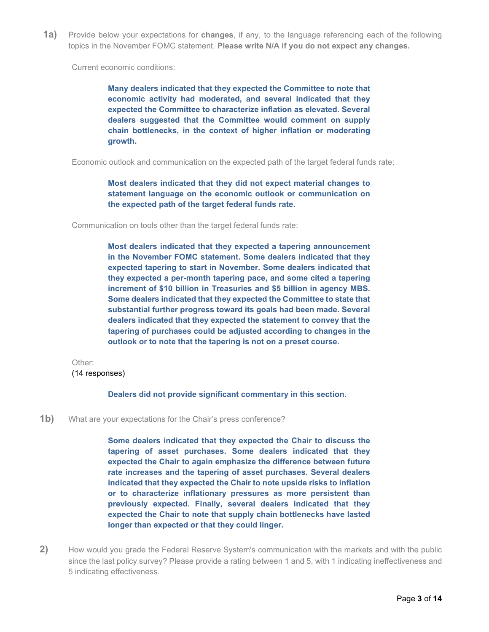<span id="page-2-0"></span>**1a)** Provide below your expectations for **changes**, if any, to the language referencing each of the following topics in the November FOMC statement. **Please write N/A if you do not expect any changes.**

Current economic conditions:

**Many dealers indicated that they expected the Committee to note that economic activity had moderated, and several indicated that they expected the Committee to characterize inflation as elevated. Several dealers suggested that the Committee would comment on supply chain bottlenecks, in the context of higher inflation or moderating growth.**

Economic outlook and communication on the expected path of the target federal funds rate:

**Most dealers indicated that they did not expect material changes to statement language on the economic outlook or communication on the expected path of the target federal funds rate.**

Communication on tools other than the target federal funds rate:

**Most dealers indicated that they expected a tapering announcement in the November FOMC statement. Some dealers indicated that they expected tapering to start in November. Some dealers indicated that they expected a per-month tapering pace, and some cited a tapering increment of \$10 billion in Treasuries and \$5 billion in agency MBS. Some dealers indicated that they expected the Committee to state that substantial further progress toward its goals had been made. Several dealers indicated that they expected the statement to convey that the tapering of purchases could be adjusted according to changes in the outlook or to note that the tapering is not on a preset course.**

Other:

(14 responses)

**Dealers did not provide significant commentary in this section.**

**1b)** What are your expectations for the Chair's press conference?

**Some dealers indicated that they expected the Chair to discuss the tapering of asset purchases. Some dealers indicated that they expected the Chair to again emphasize the difference between future rate increases and the tapering of asset purchases. Several dealers indicated that they expected the Chair to note upside risks to inflation or to characterize inflationary pressures as more persistent than previously expected. Finally, several dealers indicated that they expected the Chair to note that supply chain bottlenecks have lasted longer than expected or that they could linger.** 

<span id="page-2-1"></span>**2)** How would you grade the Federal Reserve System's communication with the markets and with the public since the last policy survey? Please provide a rating between 1 and 5, with 1 indicating ineffectiveness and 5 indicating effectiveness.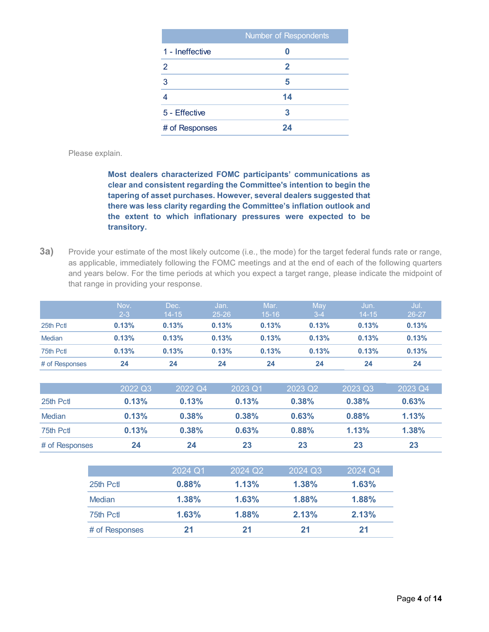|                 | Number of Respondents |
|-----------------|-----------------------|
| 1 - Ineffective |                       |
| 2               | 2                     |
| 3               | 5                     |
|                 | 14                    |
| 5 - Effective   | 3                     |
| # of Responses  | 24                    |

Please explain.

**Most dealers characterized FOMC participants' communications as clear and consistent regarding the Committee's intention to begin the tapering of asset purchases. However, several dealers suggested that there was less clarity regarding the Committee's inflation outlook and the extent to which inflationary pressures were expected to be transitory.** 

<span id="page-3-0"></span>**3a)** Provide your estimate of the most likely outcome (i.e., the mode) for the target federal funds rate or range, as applicable, immediately following the FOMC meetings and at the end of each of the following quarters and years below. For the time periods at which you expect a target range, please indicate the midpoint of that range in providing your response.

|                | Nov.    | Dec.      | Jan.      | Mar.      | May   | Jun.      | Jul.  |
|----------------|---------|-----------|-----------|-----------|-------|-----------|-------|
|                | $2 - 3$ | $14 - 15$ | $25 - 26$ | $15 - 16$ | $3-4$ | $14 - 15$ | 26-27 |
| 25th Pctl      | 0.13%   | 0.13%     | 0.13%     | 0.13%     | 0.13% | 0.13%     | 0.13% |
| Median         | 0.13%   | 0.13%     | 0.13%     | 0.13%     | 0.13% | 0.13%     | 0.13% |
| 75th Pctl      | 0.13%   | 0.13%     | 0.13%     | 0.13%     | 0.13% | 0.13%     | 0.13% |
| # of Responses | 24      | 24        | 24        | 24        | 24    | 24        | 24    |

|                | 2022 Q3 | 2022 Q4 | 2023 Q1 | 2023 Q2 | 2023 Q3 | 2023 Q4 |
|----------------|---------|---------|---------|---------|---------|---------|
| 25th Pct       | 0.13%   | 0.13%   | 0.13%   | 0.38%   | 0.38%   | 0.63%   |
| Median         | 0.13%   | 0.38%   | 0.38%   | 0.63%   | 0.88%   | 1.13%   |
| 75th Pct       | 0.13%   | 0.38%   | 0.63%   | 0.88%   | 1.13%   | 1.38%   |
| # of Responses | 24      | 24      | 23      | 23      | 23      | 23      |

|                | 2024 Q1 | 2024 Q2 | 2024 Q3 | 2024 Q4 |
|----------------|---------|---------|---------|---------|
| 25th Pct       | 0.88%   | 1.13%   | 1.38%   | 1.63%   |
| <b>Median</b>  | 1.38%   | 1.63%   | 1.88%   | 1.88%   |
| 75th Pct       | 1.63%   | 1.88%   | 2.13%   | 2.13%   |
| # of Responses | 21      | 21      | 21      | 21      |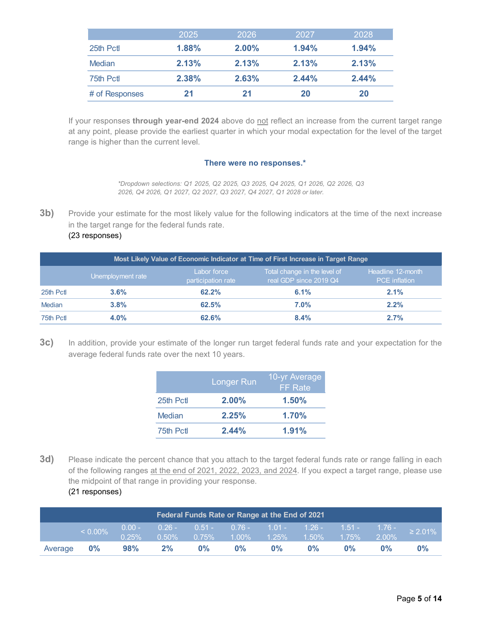|                | 2025  | 2026  | 2027  | 2028  |
|----------------|-------|-------|-------|-------|
| 25th Pctl      | 1.88% | 2.00% | 1.94% | 1.94% |
| Median         | 2.13% | 2.13% | 2.13% | 2.13% |
| 75th Pctl      | 2.38% | 2.63% | 2.44% | 2.44% |
| # of Responses | 21    | 21    | 20    | 20    |

If your responses *through year-end 2024* above do not reflect an increase from the current target range at any point, please provide the earliest quarter in which your modal expectation for the level of the target range is higher than the current level.

#### **There were no responses.\***

*\*Dropdown selections: Q1 2025, Q2 2025, Q3 2025, Q4 2025, Q1 2026, Q2 2026, Q3 2026, Q4 2026, Q1 2027, Q2 2027, Q3 2027, Q4 2027, Q1 2028 or later.*

**3b)** Provide your estimate for the most likely value for the following indicators at the time of the next increase in the target range for the federal funds rate.

#### (23 responses)

| Most Likely Value of Economic Indicator at Time of First Increase in Target Range |                   |                                   |                                                        |                                           |  |  |  |  |  |
|-----------------------------------------------------------------------------------|-------------------|-----------------------------------|--------------------------------------------------------|-------------------------------------------|--|--|--|--|--|
|                                                                                   | Unemployment rate | Labor force<br>participation rate | Total change in the level of<br>real GDP since 2019 Q4 | Headline 12-month<br><b>PCE</b> inflation |  |  |  |  |  |
| 25th Pctl                                                                         | $3.6\%$           | 62.2%                             | 6.1%                                                   | $2.1\%$                                   |  |  |  |  |  |
| Median                                                                            | 3.8%              | 62.5%                             | 7.0%                                                   | 2.2%                                      |  |  |  |  |  |
| 75th Pctl                                                                         | $4.0\%$           | 62.6%                             | $8.4\%$                                                | 2.7%                                      |  |  |  |  |  |

**3c)** In addition, provide your estimate of the longer run target federal funds rate and your expectation for the average federal funds rate over the next 10 years.

|           | <b>Longer Run</b> | 10-yr Average<br><b>FF</b> Rate |
|-----------|-------------------|---------------------------------|
| 25th Pctl | $2.00\%$          | 1.50%                           |
| Median    | 2.25%             | 1.70%                           |
| 75th Pctl | 2.44%             | 1.91%                           |

**3d)** Please indicate the percent chance that you attach to the target federal funds rate or range falling in each of the following ranges at the end of 2021, 2022, 2023, and 2024. If you expect a target range, please use the midpoint of that range in providing your response.

### (21 responses)

| Federal Funds Rate or Range at the End of 2021 |            |          |    |                                              |       |       |       |       |    |                                                               |
|------------------------------------------------|------------|----------|----|----------------------------------------------|-------|-------|-------|-------|----|---------------------------------------------------------------|
|                                                | $< 0.00\%$ | $0.25\%$ |    | $0.50\%$ 0.75% 1.00% 1.25% 1.50% 1.75% 2.00% |       |       |       |       |    | 0.00 - 0.26 - 0.51 - 0.76 - 1.01 - 1.26 - 1.51 - 1.76 - 2.01% |
| Average 0%                                     |            | 98%      | 2% | $0\%$                                        | $0\%$ | $0\%$ | $0\%$ | $0\%$ | 0% | 0%                                                            |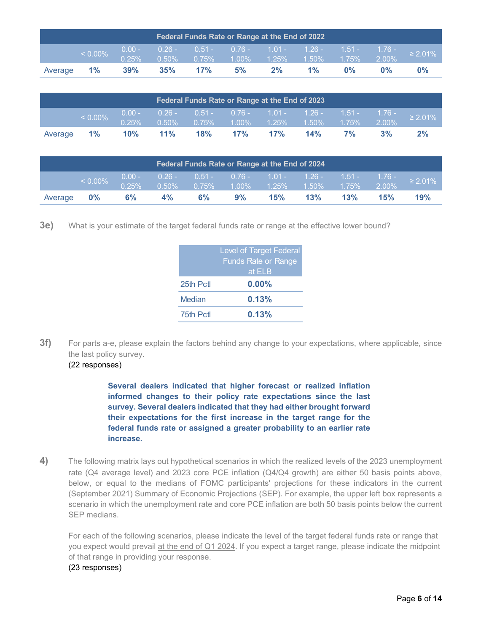| Federal Funds Rate or Range at the End of 2022<br>$0.26 - 0.51 - 0.76 - 1.01 - 1.26 - 1.51 - 1.76 - 2.01\%$ |            |                   |     |                |                   |    |                   |       |          |       |
|-------------------------------------------------------------------------------------------------------------|------------|-------------------|-----|----------------|-------------------|----|-------------------|-------|----------|-------|
|                                                                                                             | $< 0.00\%$ | $0.00 -$<br>0.25% |     | $0.50\%$ 0.75% | $1.00\%$ $1.25\%$ |    | $1.50\%$ $1.75\%$ |       | $2.00\%$ |       |
| Average                                                                                                     | $1\%$      | $39\%$            | 35% | 17%            | 5%                | 2% | $1\%$             | $0\%$ | 0%       | $0\%$ |

| Federal Funds Rate or Range at the End of 2023 |            |        |        |                                        |     |     |     |    |          |                                                               |
|------------------------------------------------|------------|--------|--------|----------------------------------------|-----|-----|-----|----|----------|---------------------------------------------------------------|
|                                                | $< 0.00\%$ | 0.25%  |        | $0.50\%$ 0.75% 1.00% 1.25% 1.50% 1.75% |     |     |     |    | $2.00\%$ | 0.00 - 0.26 - 0.51 - 0.76 - 1.01 - 1.26 - 1.51 - 1.76 - 2.01% |
| Average                                        | $1\%$      | $10\%$ | $11\%$ | 18%                                    | 17% | 17% | 14% | 7% | 3%       | $2\%$                                                         |

| Federal Funds Rate or Range at the End of 2024 |            |                   |          |          |                                                                                                             |     |           |          |          |               |
|------------------------------------------------|------------|-------------------|----------|----------|-------------------------------------------------------------------------------------------------------------|-----|-----------|----------|----------|---------------|
|                                                | $< 0.00\%$ | $0.00 -$<br>0.25% | $0.50\%$ | $0.75\%$ | $\begin{array}{cccc} \n0.26 - 0.51 - 0.76 - 1.01 - 1.26 - 1.51 - 1.76 - \n\end{array}$<br>$1.00\%$ $1.25\%$ |     | $-1.50\%$ | $1.75\%$ | $2.00\%$ | $\geq 2.01\%$ |
| Average                                        | $0\%$      | 6%                | 4%       | 6%       | 9%                                                                                                          | 15% | 13%       | 13%      | 15%      | 19%           |

**3e)** What is your estimate of the target federal funds rate or range at the effective lower bound?

|           | <b>Level of Target Federal</b><br><b>Funds Rate or Range</b><br>at ELB |
|-----------|------------------------------------------------------------------------|
| 25th Pctl | $0.00\%$                                                               |
| Median    | 0.13%                                                                  |
| 75th Pctl | 0.13%                                                                  |

**3f)** For parts a-e, please explain the factors behind any change to your expectations, where applicable, since the last policy survey. (22 responses)

> **Several dealers indicated that higher forecast or realized inflation informed changes to their policy rate expectations since the last survey. Several dealers indicated that they had either brought forward their expectations for the first increase in the target range for the federal funds rate or assigned a greater probability to an earlier rate increase.**

<span id="page-5-0"></span>**4)** The following matrix lays out hypothetical scenarios in which the realized levels of the 2023 unemployment rate (Q4 average level) and 2023 core PCE inflation (Q4/Q4 growth) are either 50 basis points above, below, or equal to the medians of FOMC participants' projections for these indicators in the current (September 2021) Summary of Economic Projections (SEP). For example, the upper left box represents a scenario in which the unemployment rate and core PCE inflation are both 50 basis points below the current SEP medians.

For each of the following scenarios, please indicate the level of the target federal funds rate or range that you expect would prevail at the end of Q1 2024. If you expect a target range, please indicate the midpoint of that range in providing your response.

#### (23 responses)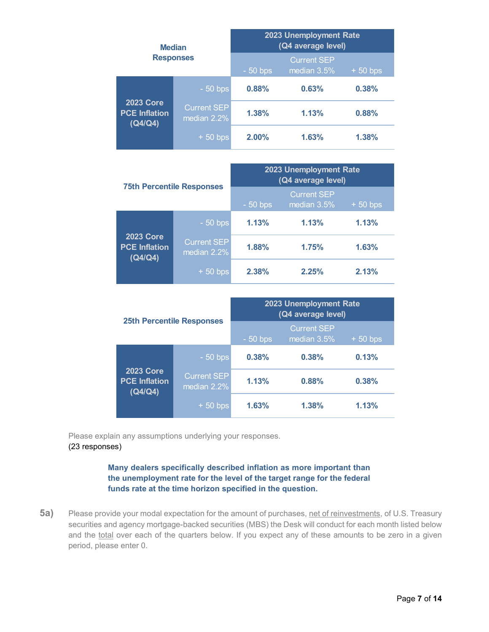|                                                     | <b>Median</b>              |           | 2023 Unemployment Rate<br>(Q4 average level) |           |
|-----------------------------------------------------|----------------------------|-----------|----------------------------------------------|-----------|
|                                                     | <b>Responses</b>           | $-50$ bps | <b>Current SEP</b><br>median 3.5%            | $+50$ bps |
|                                                     | $-50$ bps                  | 0.88%     | 0.63%                                        | 0.38%     |
| <b>2023 Core</b><br><b>PCE Inflation</b><br>(Q4/Q4) | Current SEP<br>median 2.2% | 1.38%     | 1.13%                                        | 0.88%     |
|                                                     | $+50$ bps                  | 2.00%     | 1.63%                                        | 1.38%     |

|                                                     | <b>75th Percentile Responses</b>  | 2023 Unemployment Rate<br>(Q4 average level) |                                   |           |  |  |
|-----------------------------------------------------|-----------------------------------|----------------------------------------------|-----------------------------------|-----------|--|--|
|                                                     |                                   | $-50$ bps                                    | <b>Current SEP</b><br>median 3.5% | $+50$ bps |  |  |
|                                                     | $-50$ bps                         | 1.13%                                        | 1.13%                             | 1.13%     |  |  |
| <b>2023 Core</b><br><b>PCE Inflation</b><br>(Q4/Q4) | <b>Current SEP</b><br>median 2.2% | 1.88%                                        | 1.75%                             | 1.63%     |  |  |
|                                                     | $+50$ bps                         | 2.38%                                        | 2.25%                             | 2.13%     |  |  |

|                                                     |                                   | 2023 Unemployment Rate<br>(Q4 average level) |                                   |           |  |  |
|-----------------------------------------------------|-----------------------------------|----------------------------------------------|-----------------------------------|-----------|--|--|
|                                                     | <b>25th Percentile Responses</b>  | $-50$ bps                                    | <b>Current SEP</b><br>median 3.5% | $+50$ bps |  |  |
| <b>2023 Core</b><br><b>PCE Inflation</b><br>(Q4/Q4) | $-50$ bps                         | 0.38%                                        | 0.38%                             | 0.13%     |  |  |
|                                                     | <b>Current SEP</b><br>median 2.2% | 1.13%                                        | 0.88%                             | 0.38%     |  |  |
|                                                     | $+50$ bps                         | 1.63%                                        | 1.38%                             | 1.13%     |  |  |

Please explain any assumptions underlying your responses. (23 responses)

> **Many dealers specifically described inflation as more important than the unemployment rate for the level of the target range for the federal funds rate at the time horizon specified in the question.**

<span id="page-6-0"></span>**5a)** Please provide your modal expectation for the amount of purchases, net of reinvestments, of U.S. Treasury securities and agency mortgage-backed securities (MBS) the Desk will conduct for each month listed below and the total over each of the quarters below. If you expect any of these amounts to be zero in a given period, please enter 0.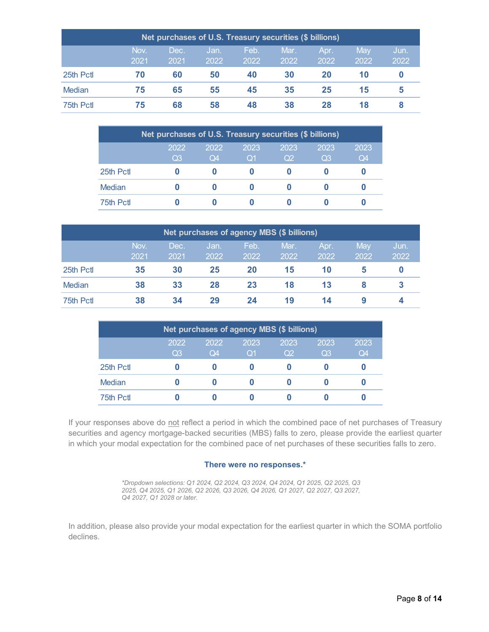| Net purchases of U.S. Treasury securities (\$ billions) |              |              |              |              |              |              |             |              |  |  |  |
|---------------------------------------------------------|--------------|--------------|--------------|--------------|--------------|--------------|-------------|--------------|--|--|--|
|                                                         | Nov.<br>2021 | Dec.<br>2021 | Jan.<br>2022 | Feb.<br>2022 | Mar.<br>2022 | Apr.<br>2022 | May<br>2022 | Jun.<br>2022 |  |  |  |
| 25th Pctl                                               | 70           | 60           | 50           | 40           | 30           | 20           | 10          |              |  |  |  |
| <b>Median</b>                                           | 75           | 65           | 55           | 45           | 35           | 25           | 15          | 5            |  |  |  |
| 75th Pctl                                               | 75           | 68           | 58           | 48           | 38           | 28           | 18          |              |  |  |  |

| Net purchases of U.S. Treasury securities (\$ billions) |                        |            |                    |                        |                        |            |  |  |  |  |  |
|---------------------------------------------------------|------------------------|------------|--------------------|------------------------|------------------------|------------|--|--|--|--|--|
|                                                         | 2022<br>Q <sub>3</sub> | 2022<br>Q4 | 2023<br>$\Omega$ 1 | 2023<br>O <sub>2</sub> | 2023<br>Q <sub>3</sub> | 2023<br>Q4 |  |  |  |  |  |
| 25th Pctl                                               |                        |            |                    |                        |                        |            |  |  |  |  |  |
| Median                                                  |                        |            |                    |                        |                        |            |  |  |  |  |  |
| 75th Pctl                                               |                        |            |                    |                        |                        |            |  |  |  |  |  |

| Net purchases of agency MBS (\$ billions) |              |              |              |              |              |              |             |              |  |
|-------------------------------------------|--------------|--------------|--------------|--------------|--------------|--------------|-------------|--------------|--|
|                                           | Nov.<br>2021 | Dec.<br>2021 | Jan.<br>2022 | Feb.<br>2022 | Mar.<br>2022 | Apr.<br>2022 | May<br>2022 | Jun.<br>2022 |  |
| 25th Pctl                                 | 35           | 30           | 25           | 20           | 15           | 10           | 5           | O            |  |
| Median                                    | 38           | 33           | 28           | 23           | 18           | 13           |             |              |  |
| 75th Pctl                                 | 38           | 34           | 29           | 24           | 19           | 14           |             |              |  |

| Net purchases of agency MBS (\$ billions)                                                                            |  |  |  |  |  |  |  |  |  |  |  |  |
|----------------------------------------------------------------------------------------------------------------------|--|--|--|--|--|--|--|--|--|--|--|--|
| 2022<br>2023<br>2023<br>2023<br>2022<br>2023<br>Q <sub>2</sub><br>Q3<br>Q4<br>Q <sub>3</sub><br>Q4<br>Q <sub>1</sub> |  |  |  |  |  |  |  |  |  |  |  |  |
| 25th Pctl                                                                                                            |  |  |  |  |  |  |  |  |  |  |  |  |
| Median                                                                                                               |  |  |  |  |  |  |  |  |  |  |  |  |
| 75th Pctl                                                                                                            |  |  |  |  |  |  |  |  |  |  |  |  |

If your responses above do not reflect a period in which the combined pace of net purchases of Treasury securities and agency mortgage-backed securities (MBS) falls to zero, please provide the earliest quarter in which your modal expectation for the combined pace of net purchases of these securities falls to zero.

#### **There were no responses.\***

*\*Dropdown selections: Q1 2024, Q2 2024, Q3 2024, Q4 2024, Q1 2025, Q2 2025, Q3 2025, Q4 2025, Q1 2026, Q2 2026, Q3 2026, Q4 2026, Q1 2027, Q2 2027, Q3 2027, Q4 2027, Q1 2028 or later.* 

In addition, please also provide your modal expectation for the earliest quarter in which the SOMA portfolio declines.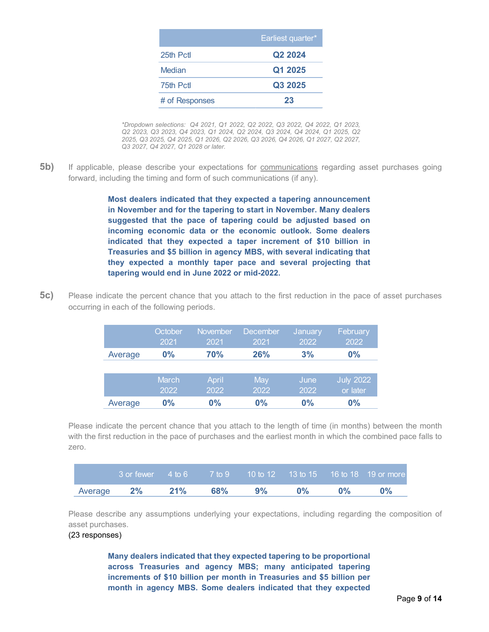|                | Earliest quarter*   |
|----------------|---------------------|
| 25th Pctl      | Q <sub>2</sub> 2024 |
| Median         | Q1 2025             |
| 75th Pctl      | Q3 2025             |
| # of Responses | 23                  |

*\*Dropdown selections: Q4 2021, Q1 2022, Q2 2022, Q3 2022, Q4 2022, Q1 2023, Q2 2023, Q3 2023, Q4 2023, Q1 2024, Q2 2024, Q3 2024, Q4 2024, Q1 2025, Q2 2025, Q3 2025, Q4 2025, Q1 2026, Q2 2026, Q3 2026, Q4 2026, Q1 2027, Q2 2027, Q3 2027, Q4 2027, Q1 2028 or later.* 

**5b)** If applicable, please describe your expectations for communications regarding asset purchases going forward, including the timing and form of such communications (if any).

> **Most dealers indicated that they expected a tapering announcement in November and for the tapering to start in November. Many dealers suggested that the pace of tapering could be adjusted based on incoming economic data or the economic outlook. Some dealers indicated that they expected a taper increment of \$10 billion in Treasuries and \$5 billion in agency MBS, with several indicating that they expected a monthly taper pace and several projecting that tapering would end in June 2022 or mid-2022.**

**5c)** Please indicate the percent chance that you attach to the first reduction in the pace of asset purchases occurring in each of the following periods.

|         | October<br>2021 | November<br>2021 | December<br>2021 | January<br>2022 | February<br>2022             |
|---------|-----------------|------------------|------------------|-----------------|------------------------------|
| Average | $0\%$           | <b>70%</b>       | <b>26%</b>       | 3%              | $0\%$                        |
|         |                 |                  |                  |                 |                              |
|         | March<br>2022   | April<br>2022    | May<br>2022      | June<br>2022    | <b>July 2022</b><br>or later |
| Average | $0\%$           | $0\%$            | $0\%$            | 0%              | $0\%$                        |

Please indicate the percent chance that you attach to the length of time (in months) between the month with the first reduction in the pace of purchases and the earliest month in which the combined pace falls to zero.

| $13$ or fewer $-4$ to 6 $-7$ to 9 $-10$ to 12 $-13$ to 15 $-16$ to 18 $-19$ or more |  |  |       |
|-------------------------------------------------------------------------------------|--|--|-------|
| Average 2% 21% 68% 9% 0% 0%                                                         |  |  | $0\%$ |

Please describe any assumptions underlying your expectations, including regarding the composition of asset purchases.

#### (23 responses)

**Many dealers indicated that they expected tapering to be proportional across Treasuries and agency MBS; many anticipated tapering increments of \$10 billion per month in Treasuries and \$5 billion per month in agency MBS. Some dealers indicated that they expected**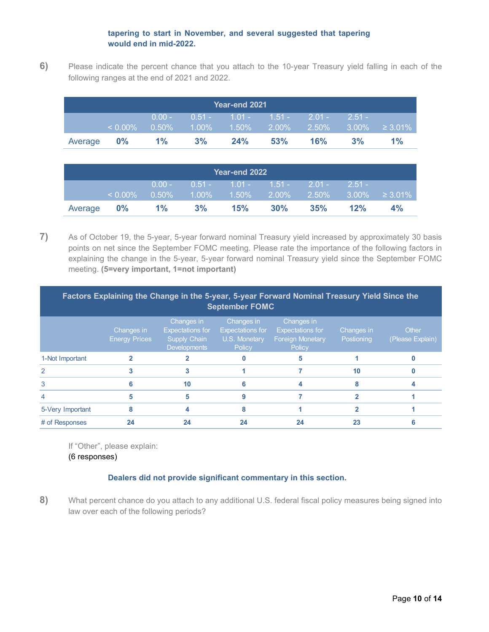### **tapering to start in November, and several suggested that tapering would end in mid-2022.**

<span id="page-9-0"></span>**6)** Please indicate the percent chance that you attach to the 10-year Treasury yield falling in each of the following ranges at the end of 2021 and 2022.

|            | Year-end 2021 |          |                                                                                                                  |        |                                |     |           |       |  |  |  |
|------------|---------------|----------|------------------------------------------------------------------------------------------------------------------|--------|--------------------------------|-----|-----------|-------|--|--|--|
|            |               | $0.00 -$ |                                                                                                                  |        | $10.51 - 1.01 - 1.51 - 2.01 -$ |     | $-2.51 -$ |       |  |  |  |
|            |               |          | $\langle 0.00\% \quad 0.50\% \quad 1.00\% \quad 1.50\% \quad 2.00\% \quad 2.50\% \quad 3.00\% \quad \geq 3.01\%$ |        |                                |     |           |       |  |  |  |
| Average 0% |               | $1\%$    | $3\%$                                                                                                            | $24\%$ | 53%                            | 16% | 3%        | $1\%$ |  |  |  |

| Year-end 2022 |               |                      |          |                                          |        |                       |          |                       |
|---------------|---------------|----------------------|----------|------------------------------------------|--------|-----------------------|----------|-----------------------|
|               | $\leq 0.00\%$ | $0.00 -$<br>$0.50\%$ | $1.00\%$ | $0.51 - 1.01 - 1.51 -$<br>$1.50\%$ 2.00% |        | $-2.01 -$<br>$2.50\%$ | $2.51 -$ | $13.00\% \geq 3.01\%$ |
|               |               |                      |          |                                          |        |                       |          |                       |
| Average       | $0\%$         | $1\%$                | 3%       | 15%                                      | $30\%$ | 35%                   | 12%      | 4%                    |

<span id="page-9-1"></span>**7)** As of October 19, the 5-year, 5-year forward nominal Treasury yield increased by approximately 30 basis points on net since the September FOMC meeting. Please rate the importance of the following factors in explaining the change in the 5-year, 5-year forward nominal Treasury yield since the September FOMC meeting. **(5=very important, 1=not important)**

| Factors Explaining the Change in the 5-year, 5-year Forward Nominal Treasury Yield Since the<br><b>September FOMC</b> |                                    |                                                                              |                                                                  |                                                                            |                          |                           |  |  |  |
|-----------------------------------------------------------------------------------------------------------------------|------------------------------------|------------------------------------------------------------------------------|------------------------------------------------------------------|----------------------------------------------------------------------------|--------------------------|---------------------------|--|--|--|
|                                                                                                                       | Changes in<br><b>Energy Prices</b> | Changes in<br><b>Expectations for</b><br><b>Supply Chain</b><br>Developments | Changes in<br><b>Expectations for</b><br>U.S. Monetary<br>Policy | Changes in<br><b>Expectations for</b><br><b>Foreign Monetary</b><br>Policy | Changes in<br>Postioning | Other<br>(Please Explain) |  |  |  |
| 1-Not Important                                                                                                       |                                    |                                                                              |                                                                  | 5                                                                          |                          |                           |  |  |  |
| $\mathcal{P}$                                                                                                         |                                    |                                                                              |                                                                  |                                                                            | 10                       |                           |  |  |  |
| 3                                                                                                                     |                                    | 10                                                                           |                                                                  |                                                                            |                          |                           |  |  |  |
|                                                                                                                       | 5                                  | 5                                                                            |                                                                  |                                                                            |                          |                           |  |  |  |
| 5-Very Important                                                                                                      | 8                                  |                                                                              |                                                                  |                                                                            |                          |                           |  |  |  |
| # of Responses                                                                                                        | 24                                 | 24                                                                           | 24                                                               | 24                                                                         | 23                       |                           |  |  |  |

If "Other", please explain: (6 responses)

## **Dealers did not provide significant commentary in this section.**

<span id="page-9-2"></span>**8)** What percent chance do you attach to any additional U.S. federal fiscal policy measures being signed into law over each of the following periods?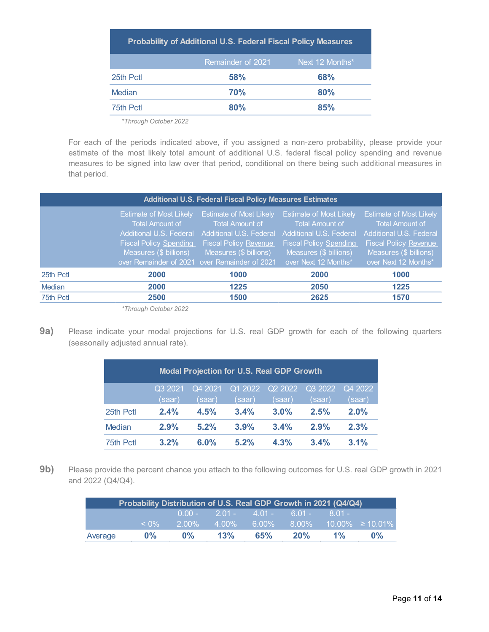| <b>Probability of Additional U.S. Federal Fiscal Policy Measures</b> |                   |                 |  |  |  |  |  |  |
|----------------------------------------------------------------------|-------------------|-----------------|--|--|--|--|--|--|
|                                                                      | Remainder of 2021 | Next 12 Months* |  |  |  |  |  |  |
| 25th Pctl                                                            | 58%               | <b>68%</b>      |  |  |  |  |  |  |
| Median                                                               | 70%               | 80%             |  |  |  |  |  |  |
| 75th Pctl                                                            | 80%               | 85%             |  |  |  |  |  |  |

*\*Through October 2022*

For each of the periods indicated above, if you assigned a non-zero probability, please provide your estimate of the most likely total amount of additional U.S. federal fiscal policy spending and revenue measures to be signed into law over that period, conditional on there being such additional measures in that period.

|           | <b>Additional U.S. Federal Fiscal Policy Measures Estimates</b>                                                                                                                                 |                                                                                                                                               |                                                                                                                                                                        |                                                                                                                                                                |  |  |  |  |  |  |
|-----------|-------------------------------------------------------------------------------------------------------------------------------------------------------------------------------------------------|-----------------------------------------------------------------------------------------------------------------------------------------------|------------------------------------------------------------------------------------------------------------------------------------------------------------------------|----------------------------------------------------------------------------------------------------------------------------------------------------------------|--|--|--|--|--|--|
|           | <b>Estimate of Most Likely</b><br><b>Total Amount of</b><br>Additional U.S. Federal<br><b>Fiscal Policy Spending</b><br>Measures (\$ billions)<br>over Remainder of 2021 over Remainder of 2021 | <b>Estimate of Most Likely</b><br>Total Amount of<br><b>Additional U.S. Federal</b><br><b>Fiscal Policy Revenue</b><br>Measures (\$ billions) | <b>Estimate of Most Likely</b><br>Total Amount of<br><b>Additional U.S. Federal</b><br><b>Fiscal Policy Spending</b><br>Measures (\$ billions)<br>over Next 12 Months* | <b>Estimate of Most Likely</b><br>Total Amount of<br>Additional U.S. Federal<br><b>Fiscal Policy Revenue</b><br>Measures (\$ billions)<br>over Next 12 Months* |  |  |  |  |  |  |
| 25th Pctl | 2000                                                                                                                                                                                            | 1000                                                                                                                                          | 2000                                                                                                                                                                   | 1000                                                                                                                                                           |  |  |  |  |  |  |
| Median    | 2000                                                                                                                                                                                            | 1225                                                                                                                                          | 2050                                                                                                                                                                   | 1225                                                                                                                                                           |  |  |  |  |  |  |
| 75th Pct  | 2500                                                                                                                                                                                            | 1500                                                                                                                                          | 2625                                                                                                                                                                   | 1570                                                                                                                                                           |  |  |  |  |  |  |

*\*Through October 2022*

<span id="page-10-0"></span>**9a)** Please indicate your modal projections for U.S. real GDP growth for each of the following quarters (seasonally adjusted annual rate).

| <b>Modal Projection for U.S. Real GDP Growth</b> |         |         |         |         |         |         |  |  |  |
|--------------------------------------------------|---------|---------|---------|---------|---------|---------|--|--|--|
|                                                  | Q3 2021 | Q4 2021 | Q1 2022 | Q2 2022 | Q3 2022 | Q4 2022 |  |  |  |
|                                                  | (saar)  | (saar)  | (saar)  | (saar)  | (saar)  | (saar)  |  |  |  |
| 25th Pctl                                        | 2.4%    | 4.5%    | 3.4%    | 3.0%    | 2.5%    | 2.0%    |  |  |  |
| Median                                           | 2.9%    | 5.2%    | 3.9%    | 3.4%    | 2.9%    | 2.3%    |  |  |  |
| 75th Pctl                                        | 3.2%    | $6.0\%$ | 5.2%    | 4.3%    | 3.4%    | 3.1%    |  |  |  |

**9b)** Please provide the percent chance you attach to the following outcomes for U.S. real GDP growth in 2021 and 2022 (Q4/Q4).

|         |            | Probability Distribution of U.S. Real GDP Growth in 2021 (Q4/Q4) |          |                 |          |           |                       |
|---------|------------|------------------------------------------------------------------|----------|-----------------|----------|-----------|-----------------------|
|         |            | $0.00 -$                                                         |          | $2.01 - 4.01 -$ | 6.01 -   | $-8.01 -$ |                       |
|         | $\leq 0\%$ | $2.00\%$                                                         | $4.00\%$ | $6.00\%$        | $8.00\%$ |           | $10.00\% \ge 10.01\%$ |
| Average | $0\%$      | $0\%$                                                            | 13%      | 65%             | 20%      | $1\%$     | $0\%$                 |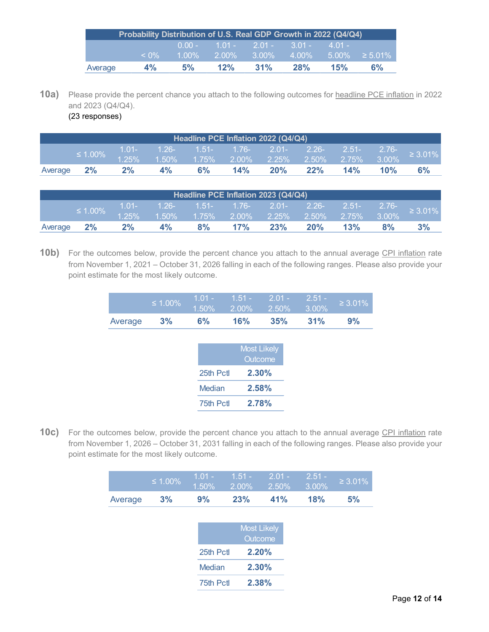|         |            | Probability Distribution of U.S. Real GDP Growth in 2022 (Q4/Q4) |          |                        |           |           |                              |
|---------|------------|------------------------------------------------------------------|----------|------------------------|-----------|-----------|------------------------------|
|         |            |                                                                  |          | $0.00 - 1.01 - 2.01 -$ | $-3.01 -$ | $-4.01 -$ |                              |
|         | $\leq 0\%$ | $1.00\%$                                                         | $2.00\%$ | $3.00\%$               |           |           | $4.00\%$ 5.00% $\geq 5.01\%$ |
| Average | 4%         | 5%                                                               | 12%      | 31%                    | 28%       | 15%       | 6%                           |

**10a)** Please provide the percent chance you attach to the following outcomes for headline PCE inflation in 2022 and 2023 (Q4/Q4).

<span id="page-11-0"></span>(23 responses)

|               | Headline PCE Inflation 2022 (Q4/Q4) |                                                                |    |    |     |     |     |     |     |               |
|---------------|-------------------------------------|----------------------------------------------------------------|----|----|-----|-----|-----|-----|-----|---------------|
|               |                                     | 1.01-                                                          |    |    |     |     |     |     |     | $\geq 3.01\%$ |
| $\leq 1.00\%$ | $1.25\%$                            | $1.50\%$ $1.75\%$ $2.00\%$ $2.25\%$ $2.50\%$ $2.75\%$ $3.00\%$ |    |    |     |     |     |     |     |               |
| Average       | 2%                                  | $2\%$                                                          | 4% | 6% | 14% | 20% | 22% | 14% | 10% | 6%            |

|         | Headline PCE Inflation 2023 (Q4/Q4) |          |           |                                           |                                 |     |     |     |                         |               |
|---------|-------------------------------------|----------|-----------|-------------------------------------------|---------------------------------|-----|-----|-----|-------------------------|---------------|
|         | $\leq 1.00\%$                       | $1.01 -$ | $-1.26 -$ |                                           | , 1.51- 1.76- 2.01- 2.26- 2.51- |     |     |     | $\angle$ 2.76- $\angle$ | $\geq 3.01\%$ |
|         | $1.25\%$                            |          |           | 1.50% 1.75% 2.00% 2.25% 2.50% 2.75% 3.00% |                                 |     |     |     |                         |               |
| Average | 2%                                  | $2\%$    | 4%        | 8%                                        | 17%                             | 23% | 20% | 13% | 8%                      | 3%            |

**10b)** For the outcomes below, provide the percent chance you attach to the annual average CPI inflation rate from November 1, 2021 – October 31, 2026 falling in each of the following ranges. Please also provide your point estimate for the most likely outcome.

|         | $\leq 1.00\%$ |    | $\boxed{1.50\% \qquad 2.00\% \qquad 2.50\% \qquad 3.00\%}$ |     |     | $\geq 3.01\%$ |
|---------|---------------|----|------------------------------------------------------------|-----|-----|---------------|
| Average | 3%            | 6% | <b>16%</b>                                                 | 35% | 31% | 9%            |

|           | <b>Most Likely</b><br>Outcome |
|-----------|-------------------------------|
| 25th Pctl | 2.30%                         |
| Median    | 2,58%                         |
| 75th Pctl | 2.78%                         |

**10c)** For the outcomes below, provide the percent chance you attach to the annual average CPI inflation rate from November 1, 2026 – October 31, 2031 falling in each of the following ranges. Please also provide your point estimate for the most likely outcome.

|         | $\leq 1.00\%$ | $1.01 -$<br>1.50% | $1.51 -$<br>2.00% | $2.01 -$<br>2.50%                    | $2.51 -$<br>3.00% | $\geq 3.01\%$ |
|---------|---------------|-------------------|-------------------|--------------------------------------|-------------------|---------------|
| Average | 3%            | 9%                | 23%               | 41%                                  | 18%               | 5%            |
|         |               |                   |                   |                                      |                   |               |
|         |               |                   |                   | <b>Most Likely</b><br><b>Outcome</b> |                   |               |
|         |               | 25th Pctl         |                   | 2.20%                                |                   |               |
|         |               | <b>Median</b>     |                   | 2.30%                                |                   |               |

75th Pctl **2.38%**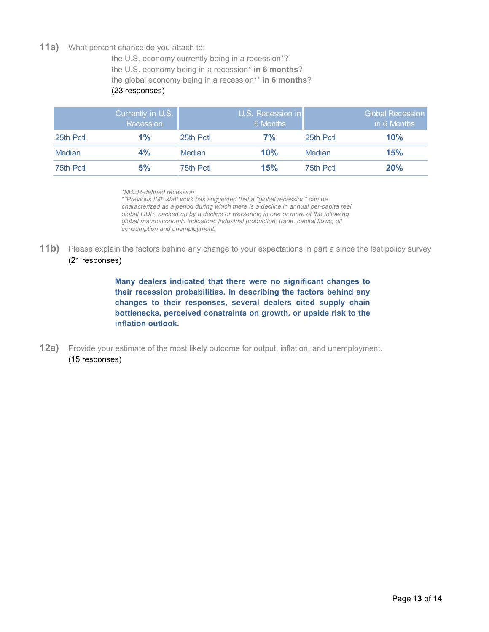#### <span id="page-12-0"></span>**11a)** What percent chance do you attach to:

the U.S. economy currently being in a recession\*? the U.S. economy being in a recession\* **in 6 months**? the global economy being in a recession\*\* **in 6 months**?

#### (23 responses)

|               | Currently in U.S.<br>Recession |           | U.S. Recession in<br>6 Months |               | Global Recession<br>in 6 Months |
|---------------|--------------------------------|-----------|-------------------------------|---------------|---------------------------------|
| 25th Pctl     | $1\%$                          | 25th Pctl | 7%                            | 25th Pctl     | 10%                             |
| <b>Median</b> | 4%                             | Median    | 10%                           | <b>Median</b> | 15%                             |
| 75th Pctl     | 5%                             | 75th Pctl | 15%                           | 75th Pctl     | 20%                             |

*\*NBER-defined recession*

*\*\*Previous IMF staff work has suggested that a "global recession" can be characterized as a period during which there is a decline in annual per-capita real global GDP, backed up by a decline or worsening in one or more of the following global macroeconomic indicators: industrial production, trade, capital flows, oil consumption and unemployment.*

**11b)** Please explain the factors behind any change to your expectations in part a since the last policy survey (21 responses)

> **Many dealers indicated that there were no significant changes to their recession probabilities. In describing the factors behind any changes to their responses, several dealers cited supply chain bottlenecks, perceived constraints on growth, or upside risk to the inflation outlook.**

<span id="page-12-1"></span>**12a)** Provide your estimate of the most likely outcome for output, inflation, and unemployment. (15 responses)